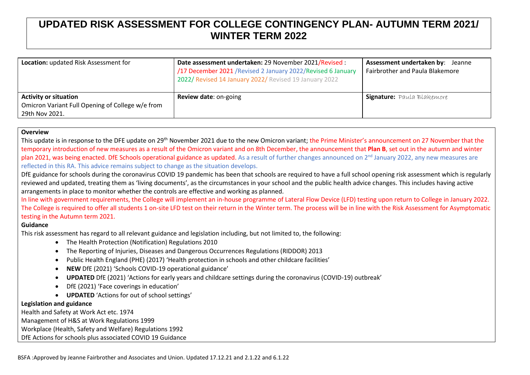## **UPDATED RISK ASSESSMENT FOR COLLEGE CONTINGENCY PLAN- AUTUMN TERM 2021/ WINTER TERM 2022**

| Location: updated Risk Assessment for                                                              | Date assessment undertaken: 29 November 2021/Revised :<br>/17 December 2021 / Revised 2 January 2022/ Revised 6 January<br>2022/ Revised 14 January 2022/ Revised 19 January 2022 | Assessment undertaken by: Jeanne<br>Fairbrother and Paula Blakemore |
|----------------------------------------------------------------------------------------------------|-----------------------------------------------------------------------------------------------------------------------------------------------------------------------------------|---------------------------------------------------------------------|
| <b>Activity or situation</b><br>Omicron Variant Full Opening of College w/e from<br>29th Nov 2021. | <b>Review date: on-going</b>                                                                                                                                                      | <b>Signature:</b> Paula Blakemore                                   |

## **Overview**

This update is in response to the DFE update on 29<sup>th</sup> November 2021 due to the new Omicron variant; the Prime Minister's announcement on 27 November that the temporary introduction of new measures as a result of the Omicron variant and on 8th December, the announcement that **Plan B**, set out in the autumn and winter plan 2021, was being enacted. DfE Schools operational guidance as updated. As a result of further changes announced on 2<sup>nd</sup> January 2022, any new measures are reflected in this RA. This advice remains subject to change as the situation develops.

DfE guidance for schools during the coronavirus COVID 19 pandemic has been that schools are required to have a full school opening risk assessment which is regularly reviewed and updated, treating them as 'living documents', as the circumstances in your school and the public health advice changes. This includes having active arrangements in place to monitor whether the controls are effective and working as planned.

In line with government requirements, the College will implement an in-house programme of Lateral Flow Device (LFD) testing upon return to College in January 2022. The College is required to offer all students 1 on-site LFD test on their return in the Winter term. The process will be in line with the Risk Assessment for Asymptomatic testing in the Autumn term 2021.

## **Guidance**

This risk assessment has regard to all relevant guidance and legislation including, but not limited to, the following:

- The Health Protection (Notification) Regulations 2010
- The Reporting of Injuries, Diseases and Dangerous Occurrences Regulations (RIDDOR) 2013
- Public Health England (PHE) (2017) 'Health protection in schools and other childcare facilities'
- **NEW** DfE (2021) 'Schools COVID-19 operational guidance'
- **UPDATED** DfE (2021) 'Actions for early years and childcare settings during the coronavirus (COVID-19) outbreak'
- DfE (2021) 'Face coverings in education'
- **UPDATED** 'Actions for out of school settings'

## **Legislation and guidance**

Health and Safety at Work Act etc. 1974 Management of H&S at Work Regulations 1999 Workplace (Health, Safety and Welfare) Regulations 1992

DfE Actions for schools plus associated COVID 19 Guidance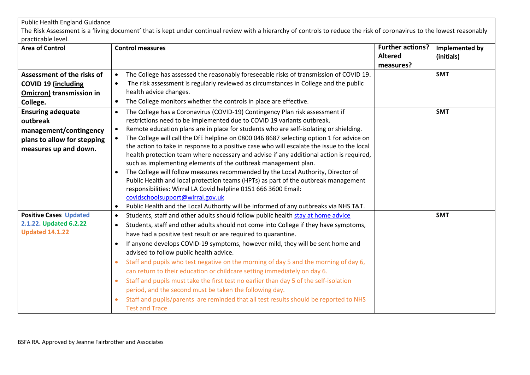| <b>Public Health England Guidance</b>                                                                                  |                                                                                                                                                                                                                                                                                                                                                                                                                                                                                                                                                                                                                                                                                                                                                                                                                                                                                                                                                                                                           |                                                        |                              |
|------------------------------------------------------------------------------------------------------------------------|-----------------------------------------------------------------------------------------------------------------------------------------------------------------------------------------------------------------------------------------------------------------------------------------------------------------------------------------------------------------------------------------------------------------------------------------------------------------------------------------------------------------------------------------------------------------------------------------------------------------------------------------------------------------------------------------------------------------------------------------------------------------------------------------------------------------------------------------------------------------------------------------------------------------------------------------------------------------------------------------------------------|--------------------------------------------------------|------------------------------|
|                                                                                                                        | The Risk Assessment is a 'living document' that is kept under continual review with a hierarchy of controls to reduce the risk of coronavirus to the lowest reasonably                                                                                                                                                                                                                                                                                                                                                                                                                                                                                                                                                                                                                                                                                                                                                                                                                                    |                                                        |                              |
| practicable level.                                                                                                     |                                                                                                                                                                                                                                                                                                                                                                                                                                                                                                                                                                                                                                                                                                                                                                                                                                                                                                                                                                                                           |                                                        |                              |
| <b>Area of Control</b>                                                                                                 | <b>Control measures</b>                                                                                                                                                                                                                                                                                                                                                                                                                                                                                                                                                                                                                                                                                                                                                                                                                                                                                                                                                                                   | <b>Further actions?</b><br><b>Altered</b><br>measures? | Implemented by<br>(initials) |
| Assessment of the risks of                                                                                             | The College has assessed the reasonably foreseeable risks of transmission of COVID 19.                                                                                                                                                                                                                                                                                                                                                                                                                                                                                                                                                                                                                                                                                                                                                                                                                                                                                                                    |                                                        | <b>SMT</b>                   |
| <b>COVID 19 (including</b>                                                                                             | The risk assessment is regularly reviewed as circumstances in College and the public                                                                                                                                                                                                                                                                                                                                                                                                                                                                                                                                                                                                                                                                                                                                                                                                                                                                                                                      |                                                        |                              |
| <b>Omicron) transmission in</b>                                                                                        | health advice changes.                                                                                                                                                                                                                                                                                                                                                                                                                                                                                                                                                                                                                                                                                                                                                                                                                                                                                                                                                                                    |                                                        |                              |
| College.                                                                                                               | The College monitors whether the controls in place are effective.<br>$\bullet$                                                                                                                                                                                                                                                                                                                                                                                                                                                                                                                                                                                                                                                                                                                                                                                                                                                                                                                            |                                                        |                              |
| <b>Ensuring adequate</b><br>outbreak<br>management/contingency<br>plans to allow for stepping<br>measures up and down. | The College has a Coronavirus (COVID-19) Contingency Plan risk assessment if<br>$\bullet$<br>restrictions need to be implemented due to COVID 19 variants outbreak.<br>Remote education plans are in place for students who are self-isolating or shielding.<br>The College will call the DfE helpline on 0800 046 8687 selecting option 1 for advice on<br>the action to take in response to a positive case who will escalate the issue to the local<br>health protection team where necessary and advise if any additional action is required,<br>such as implementing elements of the outbreak management plan.<br>The College will follow measures recommended by the Local Authority, Director of<br>Public Health and local protection teams (HPTs) as part of the outbreak management<br>responsibilities: Wirral LA Covid helpline 0151 666 3600 Email:<br>covidschoolsupport@wirral.gov.uk<br>Public Health and the Local Authority will be informed of any outbreaks via NHS T&T.<br>$\bullet$ |                                                        | <b>SMT</b>                   |
| <b>Positive Cases Updated</b><br>2.1.22. Updated 6.2.22<br><b>Updated 14.1.22</b>                                      | Students, staff and other adults should follow public health stay at home advice<br>$\bullet$<br>Students, staff and other adults should not come into College if they have symptoms,<br>$\bullet$<br>have had a positive test result or are required to quarantine.<br>If anyone develops COVID-19 symptoms, however mild, they will be sent home and<br>$\bullet$<br>advised to follow public health advice.<br>Staff and pupils who test negative on the morning of day 5 and the morning of day 6,<br>can return to their education or childcare setting immediately on day 6.<br>Staff and pupils must take the first test no earlier than day 5 of the self-isolation<br>$\bullet$<br>period, and the second must be taken the following day.<br>Staff and pupils/parents are reminded that all test results should be reported to NHS<br><b>Test and Trace</b>                                                                                                                                     |                                                        | <b>SMT</b>                   |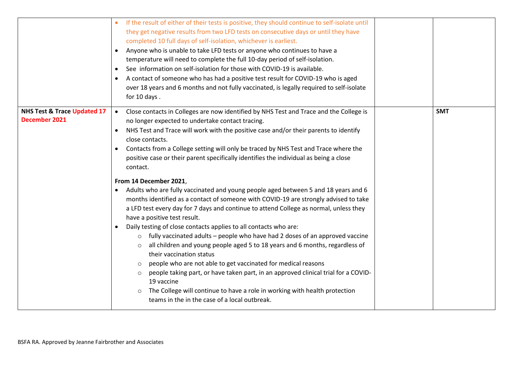|                                              | If the result of either of their tests is positive, they should continue to self-isolate until<br>they get negative results from two LFD tests on consecutive days or until they have<br>completed 10 full days of self-isolation, whichever is earliest.<br>• Anyone who is unable to take LFD tests or anyone who continues to have a<br>temperature will need to complete the full 10-day period of self-isolation.<br>See information on self-isolation for those with COVID-19 is available.<br>A contact of someone who has had a positive test result for COVID-19 who is aged<br>over 18 years and 6 months and not fully vaccinated, is legally required to self-isolate<br>for 10 days.                                                                                                                                                                                                                                                                                                                                                                                                                                                                                                                                                                                                                                                                                    |            |
|----------------------------------------------|--------------------------------------------------------------------------------------------------------------------------------------------------------------------------------------------------------------------------------------------------------------------------------------------------------------------------------------------------------------------------------------------------------------------------------------------------------------------------------------------------------------------------------------------------------------------------------------------------------------------------------------------------------------------------------------------------------------------------------------------------------------------------------------------------------------------------------------------------------------------------------------------------------------------------------------------------------------------------------------------------------------------------------------------------------------------------------------------------------------------------------------------------------------------------------------------------------------------------------------------------------------------------------------------------------------------------------------------------------------------------------------|------------|
| NHS Test & Trace Updated 17<br>December 2021 | Close contacts in Colleges are now identified by NHS Test and Trace and the College is<br>$\bullet$<br>no longer expected to undertake contact tracing.<br>NHS Test and Trace will work with the positive case and/or their parents to identify<br>close contacts.<br>Contacts from a College setting will only be traced by NHS Test and Trace where the<br>$\bullet$<br>positive case or their parent specifically identifies the individual as being a close<br>contact.<br>From 14 December 2021,<br>• Adults who are fully vaccinated and young people aged between 5 and 18 years and 6<br>months identified as a contact of someone with COVID-19 are strongly advised to take<br>a LFD test every day for 7 days and continue to attend College as normal, unless they<br>have a positive test result.<br>• Daily testing of close contacts applies to all contacts who are:<br>fully vaccinated adults – people who have had 2 doses of an approved vaccine<br>all children and young people aged 5 to 18 years and 6 months, regardless of<br>their vaccination status<br>people who are not able to get vaccinated for medical reasons<br>people taking part, or have taken part, in an approved clinical trial for a COVID-<br>19 vaccine<br>The College will continue to have a role in working with health protection<br>teams in the in the case of a local outbreak. | <b>SMT</b> |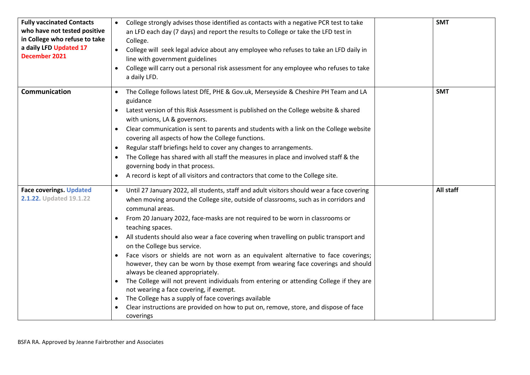| <b>Fully vaccinated Contacts</b><br>who have not tested positive<br>in College who refuse to take<br>a daily LFD Updated 17<br>December 2021 | College strongly advises those identified as contacts with a negative PCR test to take<br>an LFD each day (7 days) and report the results to College or take the LFD test in<br>College.<br>College will seek legal advice about any employee who refuses to take an LFD daily in<br>line with government guidelines<br>College will carry out a personal risk assessment for any employee who refuses to take<br>$\bullet$<br>a daily LFD.                                                                                                                                                                                                                                                                                                                                                                                                                                                                                                                                                             | <b>SMT</b> |
|----------------------------------------------------------------------------------------------------------------------------------------------|---------------------------------------------------------------------------------------------------------------------------------------------------------------------------------------------------------------------------------------------------------------------------------------------------------------------------------------------------------------------------------------------------------------------------------------------------------------------------------------------------------------------------------------------------------------------------------------------------------------------------------------------------------------------------------------------------------------------------------------------------------------------------------------------------------------------------------------------------------------------------------------------------------------------------------------------------------------------------------------------------------|------------|
| Communication                                                                                                                                | The College follows latest DfE, PHE & Gov.uk, Merseyside & Cheshire PH Team and LA<br>$\bullet$<br>guidance<br>Latest version of this Risk Assessment is published on the College website & shared<br>with unions, LA & governors.<br>Clear communication is sent to parents and students with a link on the College website<br>$\bullet$<br>covering all aspects of how the College functions.<br>Regular staff briefings held to cover any changes to arrangements.<br>$\bullet$<br>The College has shared with all staff the measures in place and involved staff & the<br>$\bullet$<br>governing body in that process.<br>A record is kept of all visitors and contractors that come to the College site.                                                                                                                                                                                                                                                                                           | <b>SMT</b> |
| <b>Face coverings. Updated</b><br>2.1.22. Updated 19.1.22                                                                                    | Until 27 January 2022, all students, staff and adult visitors should wear a face covering<br>$\bullet$<br>when moving around the College site, outside of classrooms, such as in corridors and<br>communal areas.<br>From 20 January 2022, face-masks are not required to be worn in classrooms or<br>$\bullet$<br>teaching spaces.<br>All students should also wear a face covering when travelling on public transport and<br>on the College bus service.<br>Face visors or shields are not worn as an equivalent alternative to face coverings;<br>$\bullet$<br>however, they can be worn by those exempt from wearing face coverings and should<br>always be cleaned appropriately.<br>The College will not prevent individuals from entering or attending College if they are<br>not wearing a face covering, if exempt.<br>The College has a supply of face coverings available<br>$\bullet$<br>Clear instructions are provided on how to put on, remove, store, and dispose of face<br>coverings | All staff  |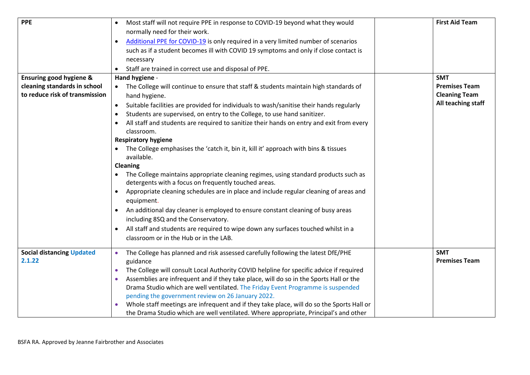| <b>PPE</b>                         | Most staff will not require PPE in response to COVID-19 beyond what they would<br>normally need for their work.<br>Additional PPE for COVID-19 is only required in a very limited number of scenarios<br>such as if a student becomes ill with COVID 19 symptoms and only if close contact is<br>necessary<br>Staff are trained in correct use and disposal of PPE. | <b>First Aid Team</b> |
|------------------------------------|---------------------------------------------------------------------------------------------------------------------------------------------------------------------------------------------------------------------------------------------------------------------------------------------------------------------------------------------------------------------|-----------------------|
| <b>Ensuring good hygiene &amp;</b> | Hand hygiene -                                                                                                                                                                                                                                                                                                                                                      | <b>SMT</b>            |
| cleaning standards in school       | The College will continue to ensure that staff & students maintain high standards of                                                                                                                                                                                                                                                                                | <b>Premises Team</b>  |
| to reduce risk of transmission     | hand hygiene.                                                                                                                                                                                                                                                                                                                                                       | <b>Cleaning Team</b>  |
|                                    | Suitable facilities are provided for individuals to wash/sanitise their hands regularly<br>$\bullet$                                                                                                                                                                                                                                                                | All teaching staff    |
|                                    | Students are supervised, on entry to the College, to use hand sanitizer.                                                                                                                                                                                                                                                                                            |                       |
|                                    | All staff and students are required to sanitize their hands on entry and exit from every<br>classroom.                                                                                                                                                                                                                                                              |                       |
|                                    | <b>Respiratory hygiene</b>                                                                                                                                                                                                                                                                                                                                          |                       |
|                                    | The College emphasises the 'catch it, bin it, kill it' approach with bins & tissues<br>available.                                                                                                                                                                                                                                                                   |                       |
|                                    | <b>Cleaning</b>                                                                                                                                                                                                                                                                                                                                                     |                       |
|                                    | The College maintains appropriate cleaning regimes, using standard products such as<br>detergents with a focus on frequently touched areas.                                                                                                                                                                                                                         |                       |
|                                    | Appropriate cleaning schedules are in place and include regular cleaning of areas and<br>$\bullet$<br>equipment.                                                                                                                                                                                                                                                    |                       |
|                                    | An additional day cleaner is employed to ensure constant cleaning of busy areas                                                                                                                                                                                                                                                                                     |                       |
|                                    | including 8SQ and the Conservatory.                                                                                                                                                                                                                                                                                                                                 |                       |
|                                    | All staff and students are required to wipe down any surfaces touched whilst in a<br>$\bullet$                                                                                                                                                                                                                                                                      |                       |
|                                    | classroom or in the Hub or in the LAB.                                                                                                                                                                                                                                                                                                                              |                       |
| <b>Social distancing Updated</b>   | The College has planned and risk assessed carefully following the latest DfE/PHE<br>$\bullet$                                                                                                                                                                                                                                                                       | <b>SMT</b>            |
| 2.1.22                             | guidance                                                                                                                                                                                                                                                                                                                                                            | <b>Premises Team</b>  |
|                                    | The College will consult Local Authority COVID helpline for specific advice if required                                                                                                                                                                                                                                                                             |                       |
|                                    | Assemblies are infrequent and if they take place, will do so in the Sports Hall or the                                                                                                                                                                                                                                                                              |                       |
|                                    | Drama Studio which are well ventilated. The Friday Event Programme is suspended<br>pending the government review on 26 January 2022.                                                                                                                                                                                                                                |                       |
|                                    | Whole staff meetings are infrequent and if they take place, will do so the Sports Hall or                                                                                                                                                                                                                                                                           |                       |
|                                    | the Drama Studio which are well ventilated. Where appropriate, Principal's and other                                                                                                                                                                                                                                                                                |                       |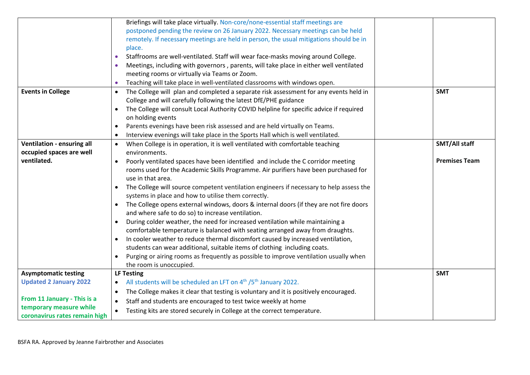|                               | Briefings will take place virtually. Non-core/none-essential staff meetings are                          |                      |
|-------------------------------|----------------------------------------------------------------------------------------------------------|----------------------|
|                               | postponed pending the review on 26 January 2022. Necessary meetings can be held                          |                      |
|                               | remotely. If necessary meetings are held in person, the usual mitigations should be in                   |                      |
|                               | place.                                                                                                   |                      |
|                               | Staffrooms are well-ventilated. Staff will wear face-masks moving around College.<br>$\bullet$           |                      |
|                               | Meetings, including with governors, parents, will take place in either well ventilated                   |                      |
|                               | meeting rooms or virtually via Teams or Zoom.                                                            |                      |
|                               | Teaching will take place in well-ventilated classrooms with windows open.                                |                      |
| <b>Events in College</b>      | The College will plan and completed a separate risk assessment for any events held in<br>$\bullet$       | <b>SMT</b>           |
|                               | College and will carefully following the latest DfE/PHE guidance                                         |                      |
|                               | The College will consult Local Authority COVID helpline for specific advice if required<br>$\bullet$     |                      |
|                               | on holding events                                                                                        |                      |
|                               |                                                                                                          |                      |
|                               | Parents evenings have been risk assessed and are held virtually on Teams.                                |                      |
|                               | Interview evenings will take place in the Sports Hall which is well ventilated.                          |                      |
| Ventilation - ensuring all    | When College is in operation, it is well ventilated with comfortable teaching<br>$\bullet$               | <b>SMT/All staff</b> |
| occupied spaces are well      | environments.                                                                                            |                      |
| ventilated.                   | Poorly ventilated spaces have been identified and include the C corridor meeting<br>$\bullet$            | <b>Premises Team</b> |
|                               | rooms used for the Academic Skills Programme. Air purifiers have been purchased for<br>use in that area. |                      |
|                               | The College will source competent ventilation engineers if necessary to help assess the                  |                      |
|                               | systems in place and how to utilise them correctly.                                                      |                      |
|                               | • The College opens external windows, doors & internal doors (if they are not fire doors                 |                      |
|                               | and where safe to do so) to increase ventilation.                                                        |                      |
|                               | During colder weather, the need for increased ventilation while maintaining a<br>$\bullet$               |                      |
|                               | comfortable temperature is balanced with seating arranged away from draughts.                            |                      |
|                               | In cooler weather to reduce thermal discomfort caused by increased ventilation,<br>$\bullet$             |                      |
|                               | students can wear additional, suitable items of clothing including coats.                                |                      |
|                               | Purging or airing rooms as frequently as possible to improve ventilation usually when                    |                      |
|                               | the room is unoccupied.                                                                                  |                      |
| <b>Asymptomatic testing</b>   | <b>LF Testing</b>                                                                                        | <b>SMT</b>           |
| <b>Updated 2 January 2022</b> | All students will be scheduled an LFT on 4 <sup>th</sup> /5 <sup>th</sup> January 2022.<br>$\bullet$     |                      |
|                               | The College makes it clear that testing is voluntary and it is positively encouraged.<br>$\bullet$       |                      |
| From 11 January - This is a   | Staff and students are encouraged to test twice weekly at home<br>$\bullet$                              |                      |
| temporary measure while       | Testing kits are stored securely in College at the correct temperature.<br>$\bullet$                     |                      |
| coronavirus rates remain high |                                                                                                          |                      |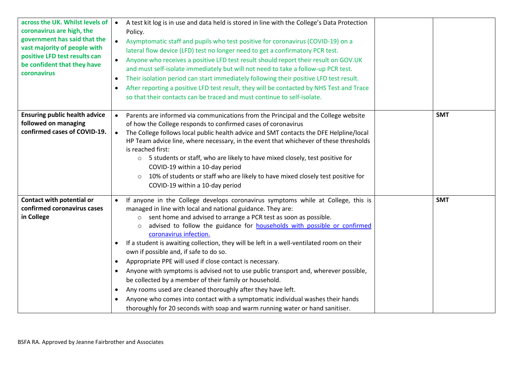| across the UK. Whilst levels of<br>coronavirus are high, the<br>government has said that the<br>vast majority of people with<br>positive LFD test results can<br>be confident that they have<br>coronavirus | A test kit log is in use and data held is stored in line with the College's Data Protection<br>$\bullet$<br>Policy.<br>Asymptomatic staff and pupils who test positive for coronavirus (COVID-19) on a<br>lateral flow device (LFD) test no longer need to get a confirmatory PCR test.<br>Anyone who receives a positive LFD test result should report their result on GOV.UK<br>and must self-isolate immediately but will not need to take a follow-up PCR test.<br>Their isolation period can start immediately following their positive LFD test result.<br>$\bullet$<br>After reporting a positive LFD test result, they will be contacted by NHS Test and Trace<br>so that their contacts can be traced and must continue to self-isolate.                                                                                                                                                                                                                                |            |
|-------------------------------------------------------------------------------------------------------------------------------------------------------------------------------------------------------------|----------------------------------------------------------------------------------------------------------------------------------------------------------------------------------------------------------------------------------------------------------------------------------------------------------------------------------------------------------------------------------------------------------------------------------------------------------------------------------------------------------------------------------------------------------------------------------------------------------------------------------------------------------------------------------------------------------------------------------------------------------------------------------------------------------------------------------------------------------------------------------------------------------------------------------------------------------------------------------|------------|
| <b>Ensuring public health advice</b><br>followed on managing<br>confirmed cases of COVID-19.                                                                                                                | Parents are informed via communications from the Principal and the College website<br>of how the College responds to confirmed cases of coronavirus<br>The College follows local public health advice and SMT contacts the DFE Helpline/local<br>HP Team advice line, where necessary, in the event that whichever of these thresholds<br>is reached first:<br>○ 5 students or staff, who are likely to have mixed closely, test positive for<br>COVID-19 within a 10-day period<br>10% of students or staff who are likely to have mixed closely test positive for<br>$\circ$<br>COVID-19 within a 10-day period                                                                                                                                                                                                                                                                                                                                                                | <b>SMT</b> |
| Contact with potential or<br>confirmed coronavirus cases<br>in College                                                                                                                                      | If anyone in the College develops coronavirus symptoms while at College, this is<br>managed in line with local and national guidance. They are:<br>o sent home and advised to arrange a PCR test as soon as possible.<br>advised to follow the guidance for households with possible or confirmed<br>$\circ$<br>coronavirus infection.<br>If a student is awaiting collection, they will be left in a well-ventilated room on their<br>$\bullet$<br>own if possible and, if safe to do so.<br>Appropriate PPE will used if close contact is necessary.<br>$\bullet$<br>Anyone with symptoms is advised not to use public transport and, wherever possible,<br>$\bullet$<br>be collected by a member of their family or household.<br>Any rooms used are cleaned thoroughly after they have left.<br>$\bullet$<br>Anyone who comes into contact with a symptomatic individual washes their hands<br>thoroughly for 20 seconds with soap and warm running water or hand sanitiser. | <b>SMT</b> |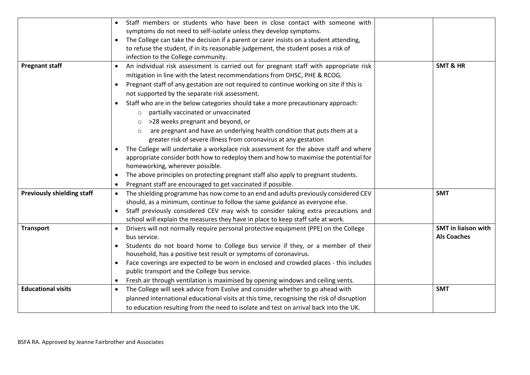|                                   | Staff members or students who have been in close contact with someone with<br>$\bullet$<br>symptoms do not need to self-isolate unless they develop symptoms.<br>The College can take the decision if a parent or carer insists on a student attending,<br>to refuse the student, if in its reasonable judgement, the student poses a risk of<br>infection to the College community.                                                                                                                                                                                                                                                                                                                                                                                                                                                                                 |                                                  |
|-----------------------------------|----------------------------------------------------------------------------------------------------------------------------------------------------------------------------------------------------------------------------------------------------------------------------------------------------------------------------------------------------------------------------------------------------------------------------------------------------------------------------------------------------------------------------------------------------------------------------------------------------------------------------------------------------------------------------------------------------------------------------------------------------------------------------------------------------------------------------------------------------------------------|--------------------------------------------------|
| <b>Pregnant staff</b>             | An individual risk assessment is carried out for pregnant staff with appropriate risk<br>$\bullet$<br>mitigation in line with the latest recommendations from DHSC, PHE & RCOG.<br>Pregnant staff of any gestation are not required to continue working on site if this is<br>$\bullet$<br>not supported by the separate risk assessment.<br>Staff who are in the below categories should take a more precautionary approach:<br>$\bullet$<br>partially vaccinated or unvaccinated<br>>28 weeks pregnant and beyond, or<br>are pregnant and have an underlying health condition that puts them at a<br>greater risk of severe illness from coronavirus at any gestation<br>The College will undertake a workplace risk assessment for the above staff and where<br>$\bullet$<br>appropriate consider both how to redeploy them and how to maximise the potential for | <b>SMT &amp; HR</b>                              |
|                                   | homeworking, wherever possible.<br>The above principles on protecting pregnant staff also apply to pregnant students.<br>Pregnant staff are encouraged to get vaccinated if possible.<br>$\bullet$                                                                                                                                                                                                                                                                                                                                                                                                                                                                                                                                                                                                                                                                   |                                                  |
| <b>Previously shielding staff</b> | The shielding programme has now come to an end and adults previously considered CEV<br>$\bullet$<br>should, as a minimum, continue to follow the same guidance as everyone else.<br>Staff previously considered CEV may wish to consider taking extra precautions and<br>school will explain the measures they have in place to keep staff safe at work.                                                                                                                                                                                                                                                                                                                                                                                                                                                                                                             | <b>SMT</b>                                       |
| <b>Transport</b>                  | Drivers will not normally require personal protective equipment (PPE) on the College<br>$\bullet$<br>bus service.<br>Students do not board home to College bus service if they, or a member of their<br>household, has a positive test result or symptoms of coronavirus.<br>Face coverings are expected to be worn in enclosed and crowded places - this includes<br>$\bullet$<br>public transport and the College bus service.<br>Fresh air through ventilation is maximised by opening windows and ceiling vents.                                                                                                                                                                                                                                                                                                                                                 | <b>SMT</b> in liaison with<br><b>Als Coaches</b> |
| <b>Educational visits</b>         | The College will seek advice from Evolve and consider whether to go ahead with<br>planned international educational visits at this time, recognising the risk of disruption<br>to education resulting from the need to isolate and test on arrival back into the UK.                                                                                                                                                                                                                                                                                                                                                                                                                                                                                                                                                                                                 | <b>SMT</b>                                       |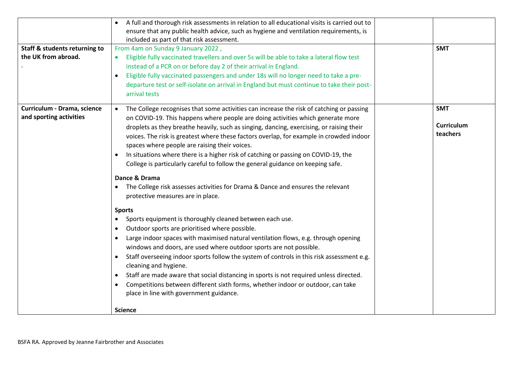| <b>Staff &amp; students returning to</b><br>the UK from abroad. | A full and thorough risk assessments in relation to all educational visits is carried out to<br>ensure that any public health advice, such as hygiene and ventilation requirements, is<br>included as part of that risk assessment.<br>From 4am on Sunday 9 January 2022,<br>Eligible fully vaccinated travellers and over 5s will be able to take a lateral flow test<br>instead of a PCR on or before day 2 of their arrival in England.<br>Eligible fully vaccinated passengers and under 18s will no longer need to take a pre-<br>$\bullet$<br>departure test or self-isolate on arrival in England but must continue to take their post-                                                 | <b>SMT</b>                    |
|-----------------------------------------------------------------|------------------------------------------------------------------------------------------------------------------------------------------------------------------------------------------------------------------------------------------------------------------------------------------------------------------------------------------------------------------------------------------------------------------------------------------------------------------------------------------------------------------------------------------------------------------------------------------------------------------------------------------------------------------------------------------------|-------------------------------|
| Curriculum - Drama, science                                     | arrival tests<br>The College recognises that some activities can increase the risk of catching or passing                                                                                                                                                                                                                                                                                                                                                                                                                                                                                                                                                                                      | <b>SMT</b>                    |
| and sporting activities                                         | on COVID-19. This happens where people are doing activities which generate more<br>droplets as they breathe heavily, such as singing, dancing, exercising, or raising their<br>voices. The risk is greatest where these factors overlap, for example in crowded indoor<br>spaces where people are raising their voices.<br>In situations where there is a higher risk of catching or passing on COVID-19, the<br>$\bullet$<br>College is particularly careful to follow the general guidance on keeping safe.                                                                                                                                                                                  | <b>Curriculum</b><br>teachers |
|                                                                 | Dance & Drama<br>The College risk assesses activities for Drama & Dance and ensures the relevant<br>$\bullet$<br>protective measures are in place.                                                                                                                                                                                                                                                                                                                                                                                                                                                                                                                                             |                               |
|                                                                 | <b>Sports</b><br>Sports equipment is thoroughly cleaned between each use.<br>Outdoor sports are prioritised where possible.<br>$\bullet$<br>Large indoor spaces with maximised natural ventilation flows, e.g. through opening<br>$\bullet$<br>windows and doors, are used where outdoor sports are not possible.<br>Staff overseeing indoor sports follow the system of controls in this risk assessment e.g.<br>cleaning and hygiene.<br>Staff are made aware that social distancing in sports is not required unless directed.<br>$\bullet$<br>Competitions between different sixth forms, whether indoor or outdoor, can take<br>place in line with government guidance.<br><b>Science</b> |                               |